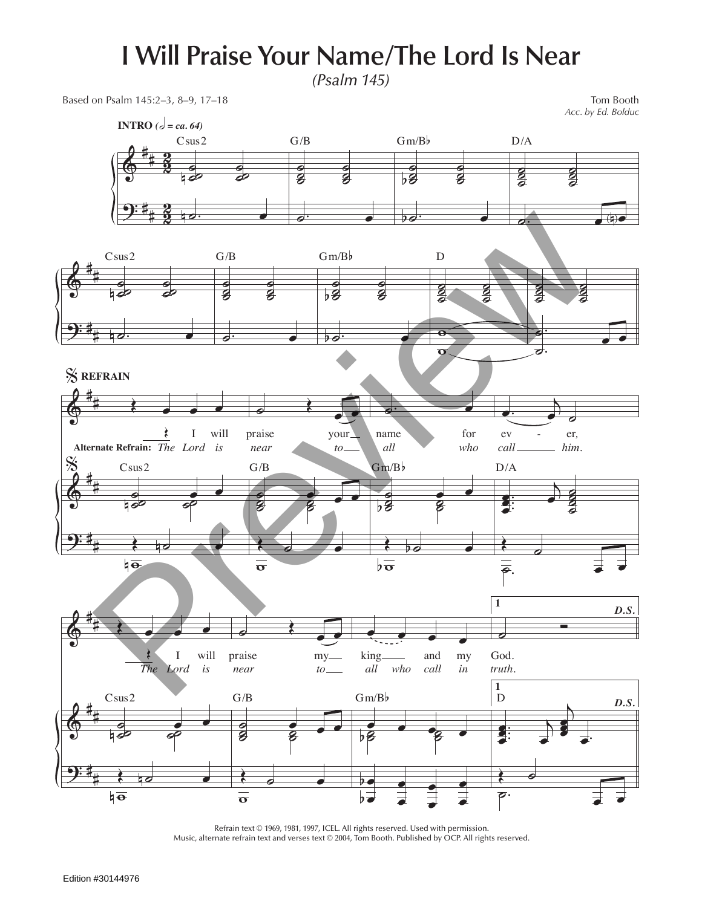## **I Will Praise Your Name/The Lord Is Near**

*(Psalm 145)*

Based on Psalm 145:2–3, 8–9, 17–18 Tom Booth

*Acc. by Ed. Bolduc*



Refrain text © 1969, 1981, 1997, ICEL. All rights reserved. Used with permission. Music, alternate refrain text and verses text © 2004, Tom Booth. Published by OCP. All rights reserved.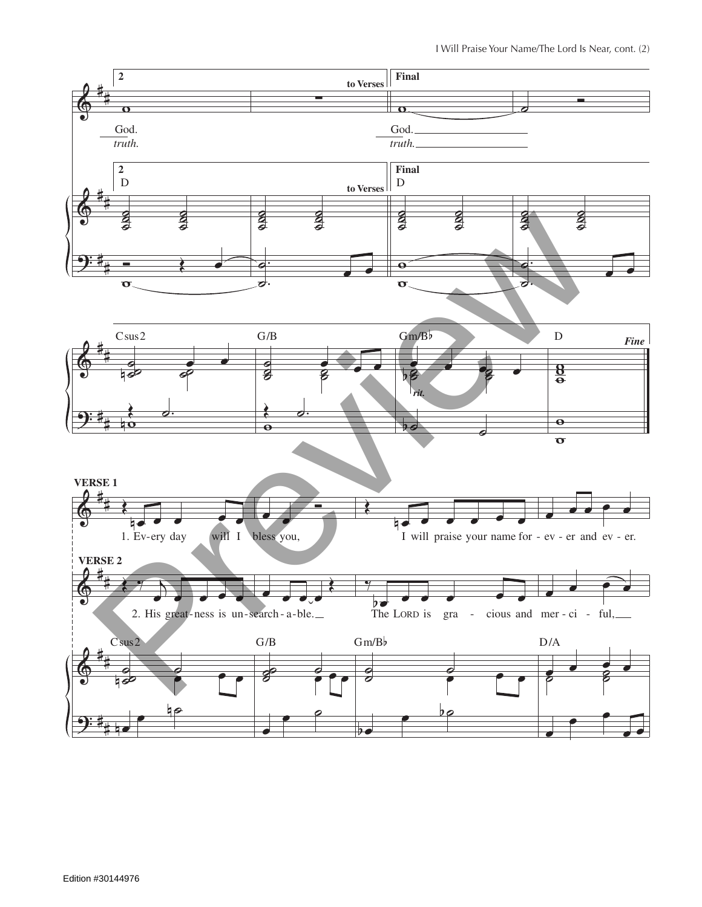